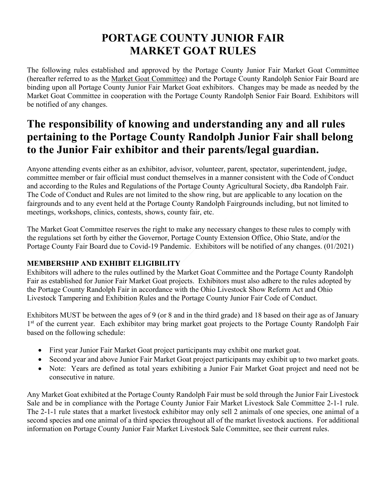# PORTAGE COUNTY JUNIOR FAIR MARKET GOAT RULES

The following rules established and approved by the Portage County Junior Fair Market Goat Committee (hereafter referred to as the Market Goat Committee) and the Portage County Randolph Senior Fair Board are binding upon all Portage County Junior Fair Market Goat exhibitors. Changes may be made as needed by the Market Goat Committee in cooperation with the Portage County Randolph Senior Fair Board. Exhibitors will be notified of any changes.

# The responsibility of knowing and understanding any and all rules pertaining to the Portage County Randolph Junior Fair shall belong to the Junior Fair exhibitor and their parents/legal guardian.

Anyone attending events either as an exhibitor, advisor, volunteer, parent, spectator, superintendent, judge, committee member or fair official must conduct themselves in a manner consistent with the Code of Conduct and according to the Rules and Regulations of the Portage County Agricultural Society, dba Randolph Fair. The Code of Conduct and Rules are not limited to the show ring, but are applicable to any location on the fairgrounds and to any event held at the Portage County Randolph Fairgrounds including, but not limited to meetings, workshops, clinics, contests, shows, county fair, etc.

The Market Goat Committee reserves the right to make any necessary changes to these rules to comply with the regulations set forth by either the Governor, Portage County Extension Office, Ohio State, and/or the Portage County Fair Board due to Covid-19 Pandemic. Exhibitors will be notified of any changes. (01/2021)

# MEMBERSHIP AND EXHIBIT ELIGIBILITY

Exhibitors will adhere to the rules outlined by the Market Goat Committee and the Portage County Randolph Fair as established for Junior Fair Market Goat projects. Exhibitors must also adhere to the rules adopted by the Portage County Randolph Fair in accordance with the Ohio Livestock Show Reform Act and Ohio Livestock Tampering and Exhibition Rules and the Portage County Junior Fair Code of Conduct.

Exhibitors MUST be between the ages of 9 (or 8 and in the third grade) and 18 based on their age as of January 1<sup>st</sup> of the current year. Each exhibitor may bring market goat projects to the Portage County Randolph Fair based on the following schedule:

- First year Junior Fair Market Goat project participants may exhibit one market goat.
- Second year and above Junior Fair Market Goat project participants may exhibit up to two market goats.
- Note: Years are defined as total years exhibiting a Junior Fair Market Goat project and need not be consecutive in nature.

Any Market Goat exhibited at the Portage County Randolph Fair must be sold through the Junior Fair Livestock Sale and be in compliance with the Portage County Junior Fair Market Livestock Sale Committee 2-1-1 rule. The 2-1-1 rule states that a market livestock exhibitor may only sell 2 animals of one species, one animal of a second species and one animal of a third species throughout all of the market livestock auctions. For additional information on Portage County Junior Fair Market Livestock Sale Committee, see their current rules.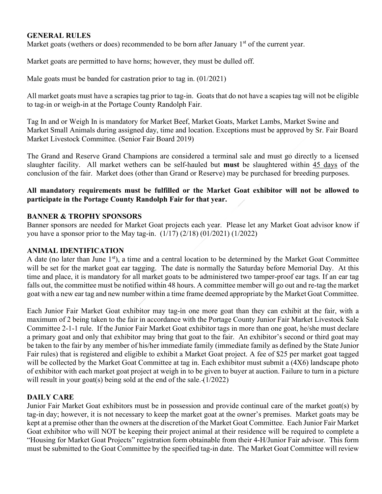## GENERAL RULES

Market goats (wethers or does) recommended to be born after January  $1<sup>st</sup>$  of the current year.

Market goats are permitted to have horns; however, they must be dulled off.

Male goats must be banded for castration prior to tag in. (01/2021)

All market goats must have a scrapies tag prior to tag-in. Goats that do not have a scapies tag will not be eligible to tag-in or weigh-in at the Portage County Randolph Fair.

Tag In and or Weigh In is mandatory for Market Beef, Market Goats, Market Lambs, Market Swine and Market Small Animals during assigned day, time and location. Exceptions must be approved by Sr. Fair Board Market Livestock Committee. (Senior Fair Board 2019)

The Grand and Reserve Grand Champions are considered a terminal sale and must go directly to a licensed slaughter facility. All market wethers can be self-hauled but must be slaughtered within 45 days of the conclusion of the fair. Market does (other than Grand or Reserve) may be purchased for breeding purposes.

## All mandatory requirements must be fulfilled or the Market Goat exhibitor will not be allowed to participate in the Portage County Randolph Fair for that year.

#### BANNER & TROPHY SPONSORS

Banner sponsors are needed for Market Goat projects each year. Please let any Market Goat advisor know if you have a sponsor prior to the May tag-in.  $(1/17) (2/18) (01/2021) (1/2022)$ 

#### ANIMAL IDENTIFICATION

A date (no later than June 1<sup>st</sup>), a time and a central location to be determined by the Market Goat Committee will be set for the market goat ear tagging. The date is normally the Saturday before Memorial Day. At this time and place, it is mandatory for all market goats to be administered two tamper-proof ear tags. If an ear tag falls out, the committee must be notified within 48 hours. A committee member will go out and re-tag the market goat with a new ear tag and new number within a time frame deemed appropriate by the Market Goat Committee.

Each Junior Fair Market Goat exhibitor may tag-in one more goat than they can exhibit at the fair, with a maximum of 2 being taken to the fair in accordance with the Portage County Junior Fair Market Livestock Sale Committee 2-1-1 rule. If the Junior Fair Market Goat exhibitor tags in more than one goat, he/she must declare a primary goat and only that exhibitor may bring that goat to the fair. An exhibitor's second or third goat may be taken to the fair by any member of his/her immediate family (immediate family as defined by the State Junior Fair rules) that is registered and eligible to exhibit a Market Goat project. A fee of \$25 per market goat tagged will be collected by the Market Goat Committee at tag in. Each exhibitor must submit a (4X6) landscape photo of exhibitor with each market goat project at weigh in to be given to buyer at auction. Failure to turn in a picture will result in your goat(s) being sold at the end of the sale. (1/2022)

## DAILY CARE

Junior Fair Market Goat exhibitors must be in possession and provide continual care of the market goat(s) by tag-in day; however, it is not necessary to keep the market goat at the owner's premises. Market goats may be kept at a premise other than the owners at the discretion of the Market Goat Committee. Each Junior Fair Market Goat exhibitor who will NOT be keeping their project animal at their residence will be required to complete a "Housing for Market Goat Projects" registration form obtainable from their 4-H/Junior Fair advisor. This form must be submitted to the Goat Committee by the specified tag-in date. The Market Goat Committee will review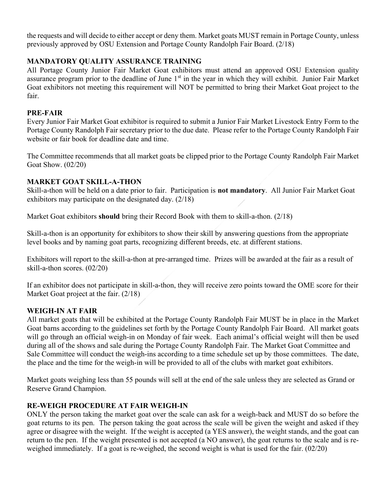the requests and will decide to either accept or deny them. Market goats MUST remain in Portage County, unless previously approved by OSU Extension and Portage County Randolph Fair Board. (2/18)

# MANDATORY QUALITY ASSURANCE TRAINING

All Portage County Junior Fair Market Goat exhibitors must attend an approved OSU Extension quality assurance program prior to the deadline of June 1<sup>st</sup> in the year in which they will exhibit. Junior Fair Market Goat exhibitors not meeting this requirement will NOT be permitted to bring their Market Goat project to the fair.

# PRE-FAIR

Every Junior Fair Market Goat exhibitor is required to submit a Junior Fair Market Livestock Entry Form to the Portage County Randolph Fair secretary prior to the due date. Please refer to the Portage County Randolph Fair website or fair book for deadline date and time.

The Committee recommends that all market goats be clipped prior to the Portage County Randolph Fair Market Goat Show. (02/20)

# MARKET GOAT SKILL-A-THON

Skill-a-thon will be held on a date prior to fair. Participation is not mandatory. All Junior Fair Market Goat exhibitors may participate on the designated day. (2/18)

Market Goat exhibitors should bring their Record Book with them to skill-a-thon. (2/18)

Skill-a-thon is an opportunity for exhibitors to show their skill by answering questions from the appropriate level books and by naming goat parts, recognizing different breeds, etc. at different stations.

Exhibitors will report to the skill-a-thon at pre-arranged time. Prizes will be awarded at the fair as a result of skill-a-thon scores. (02/20)

If an exhibitor does not participate in skill-a-thon, they will receive zero points toward the OME score for their Market Goat project at the fair. (2/18)

# WEIGH-IN AT FAIR

All market goats that will be exhibited at the Portage County Randolph Fair MUST be in place in the Market Goat barns according to the guidelines set forth by the Portage County Randolph Fair Board. All market goats will go through an official weigh-in on Monday of fair week. Each animal's official weight will then be used during all of the shows and sale during the Portage County Randolph Fair. The Market Goat Committee and Sale Committee will conduct the weigh-ins according to a time schedule set up by those committees. The date, the place and the time for the weigh-in will be provided to all of the clubs with market goat exhibitors.

Market goats weighing less than 55 pounds will sell at the end of the sale unless they are selected as Grand or Reserve Grand Champion.

# RE-WEIGH PROCEDURE AT FAIR WEIGH-IN

ONLY the person taking the market goat over the scale can ask for a weigh-back and MUST do so before the goat returns to its pen. The person taking the goat across the scale will be given the weight and asked if they agree or disagree with the weight. If the weight is accepted (a YES answer), the weight stands, and the goat can return to the pen. If the weight presented is not accepted (a NO answer), the goat returns to the scale and is reweighed immediately. If a goat is re-weighed, the second weight is what is used for the fair. (02/20)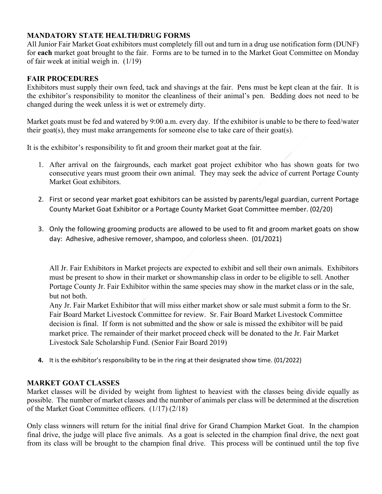## MANDATORY STATE HEALTH/DRUG FORMS

All Junior Fair Market Goat exhibitors must completely fill out and turn in a drug use notification form (DUNF) for each market goat brought to the fair. Forms are to be turned in to the Market Goat Committee on Monday of fair week at initial weigh in. (1/19)

## FAIR PROCEDURES

Exhibitors must supply their own feed, tack and shavings at the fair. Pens must be kept clean at the fair. It is the exhibitor's responsibility to monitor the cleanliness of their animal's pen. Bedding does not need to be changed during the week unless it is wet or extremely dirty.

Market goats must be fed and watered by 9:00 a.m. every day. If the exhibitor is unable to be there to feed/water their goat(s), they must make arrangements for someone else to take care of their goat(s).

It is the exhibitor's responsibility to fit and groom their market goat at the fair.

- 1. After arrival on the fairgrounds, each market goat project exhibitor who has shown goats for two consecutive years must groom their own animal. They may seek the advice of current Portage County Market Goat exhibitors.
- 2. First or second year market goat exhibitors can be assisted by parents/legal guardian, current Portage County Market Goat Exhibitor or a Portage County Market Goat Committee member. (02/20)
- 3. Only the following grooming products are allowed to be used to fit and groom market goats on show day: Adhesive, adhesive remover, shampoo, and colorless sheen. (01/2021)

All Jr. Fair Exhibitors in Market projects are expected to exhibit and sell their own animals. Exhibitors must be present to show in their market or showmanship class in order to be eligible to sell. Another Portage County Jr. Fair Exhibitor within the same species may show in the market class or in the sale, but not both.

Any Jr. Fair Market Exhibitor that will miss either market show or sale must submit a form to the Sr. Fair Board Market Livestock Committee for review. Sr. Fair Board Market Livestock Committee decision is final. If form is not submitted and the show or sale is missed the exhibitor will be paid market price. The remainder of their market proceed check will be donated to the Jr. Fair Market Livestock Sale Scholarship Fund. (Senior Fair Board 2019)

4. It is the exhibitor's responsibility to be in the ring at their designated show time. (01/2022)

# MARKET GOAT CLASSES

Market classes will be divided by weight from lightest to heaviest with the classes being divide equally as possible. The number of market classes and the number of animals per class will be determined at the discretion of the Market Goat Committee officers. (1/17) (2/18)

Only class winners will return for the initial final drive for Grand Champion Market Goat. In the champion final drive, the judge will place five animals. As a goat is selected in the champion final drive, the next goat from its class will be brought to the champion final drive. This process will be continued until the top five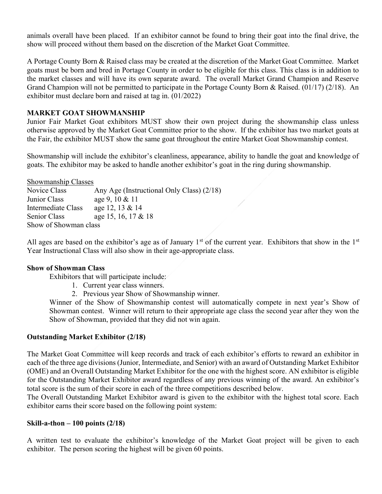animals overall have been placed. If an exhibitor cannot be found to bring their goat into the final drive, the show will proceed without them based on the discretion of the Market Goat Committee.

A Portage County Born & Raised class may be created at the discretion of the Market Goat Committee. Market goats must be born and bred in Portage County in order to be eligible for this class. This class is in addition to the market classes and will have its own separate award. The overall Market Grand Champion and Reserve Grand Champion will not be permitted to participate in the Portage County Born & Raised. (01/17) (2/18). An exhibitor must declare born and raised at tag in. (01/2022)

#### MARKET GOAT SHOWMANSHIP

Junior Fair Market Goat exhibitors MUST show their own project during the showmanship class unless otherwise approved by the Market Goat Committee prior to the show. If the exhibitor has two market goats at the Fair, the exhibitor MUST show the same goat throughout the entire Market Goat Showmanship contest.

Showmanship will include the exhibitor's cleanliness, appearance, ability to handle the goat and knowledge of goats. The exhibitor may be asked to handle another exhibitor's goat in the ring during showmanship.

Showmanship Classes

| Novice Class          | Any Age (Instructional Only Class) (2/18) |
|-----------------------|-------------------------------------------|
| Junior Class          | age 9, 10 $& 11$                          |
| Intermediate Class    | age 12, 13 & 14                           |
| Senior Class          | age 15, 16, 17 & 18                       |
| Show of Showman class |                                           |

All ages are based on the exhibitor's age as of January  $1<sup>st</sup>$  of the current year. Exhibitors that show in the  $1<sup>st</sup>$ Year Instructional Class will also show in their age-appropriate class.

#### Show of Showman Class

Exhibitors that will participate include:

- 1. Current year class winners.
- 2. Previous year Show of Showmanship winner.

Winner of the Show of Showmanship contest will automatically compete in next year's Show of Showman contest. Winner will return to their appropriate age class the second year after they won the Show of Showman, provided that they did not win again.

#### Outstanding Market Exhibitor (2/18)

The Market Goat Committee will keep records and track of each exhibitor's efforts to reward an exhibitor in each of the three age divisions (Junior, Intermediate, and Senior) with an award of Outstanding Market Exhibitor (OME) and an Overall Outstanding Market Exhibitor for the one with the highest score. AN exhibitor is eligible for the Outstanding Market Exhibitor award regardless of any previous winning of the award. An exhibitor's total score is the sum of their score in each of the three competitions described below.

The Overall Outstanding Market Exhibitor award is given to the exhibitor with the highest total score. Each exhibitor earns their score based on the following point system:

#### Skill-a-thon  $-100$  points  $(2/18)$

A written test to evaluate the exhibitor's knowledge of the Market Goat project will be given to each exhibitor. The person scoring the highest will be given 60 points.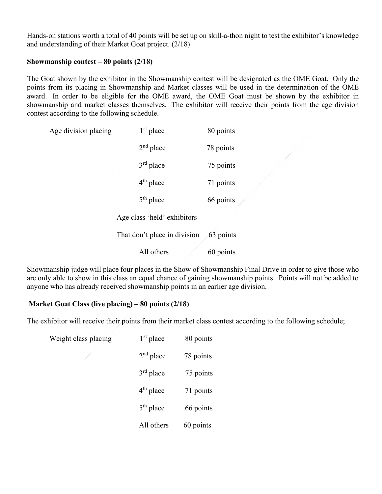Hands-on stations worth a total of 40 points will be set up on skill-a-thon night to test the exhibitor's knowledge and understanding of their Market Goat project. (2/18)

#### Showmanship contest – 80 points (2/18)

The Goat shown by the exhibitor in the Showmanship contest will be designated as the OME Goat. Only the points from its placing in Showmanship and Market classes will be used in the determination of the OME award. In order to be eligible for the OME award, the OME Goat must be shown by the exhibitor in showmanship and market classes themselves. The exhibitor will receive their points from the age division contest according to the following schedule.

| Age division placing | $1st$ place                  | 80 points |
|----------------------|------------------------------|-----------|
|                      | $2nd$ place                  | 78 points |
|                      | $3rd$ place                  | 75 points |
|                      | $4th$ place                  | 71 points |
|                      | $5th$ place                  | 66 points |
|                      | Age class 'held' exhibitors  |           |
|                      | That don't place in division | 63 points |
|                      | All others                   | 60 points |

Showmanship judge will place four places in the Show of Showmanship Final Drive in order to give those who are only able to show in this class an equal chance of gaining showmanship points. Points will not be added to anyone who has already received showmanship points in an earlier age division.

## Market Goat Class (live placing) – 80 points (2/18)

The exhibitor will receive their points from their market class contest according to the following schedule;

| Weight class placing | $1st$ place | 80 points |
|----------------------|-------------|-----------|
|                      | $2nd$ place | 78 points |
|                      | $3rd$ place | 75 points |
|                      | $4th$ place | 71 points |
|                      | $5th$ place | 66 points |
|                      | All others  | 60 points |